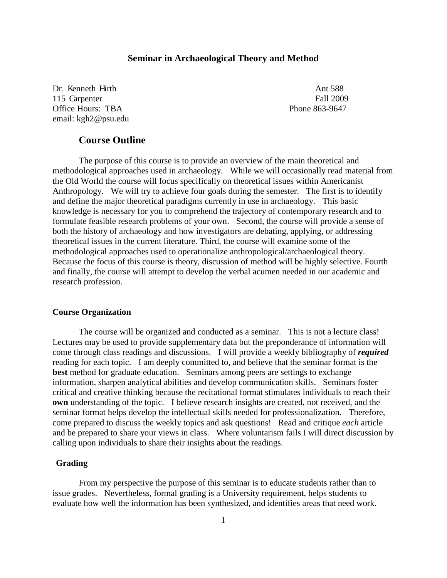## **Seminar in Archaeological Theory and Method**

Dr. Kenneth Hirth Ant 588 115 Carpenter Fall 2009 Office Hours: TBA **Phone 863-9647** email: kgh2@psu.edu

## **Course Outline**

The purpose of this course is to provide an overview of the main theoretical and methodological approaches used in archaeology. While we will occasionally read material from the Old World the course will focus specifically on theoretical issues within Americanist Anthropology. We will try to achieve four goals during the semester. The first is to identify and define the major theoretical paradigms currently in use in archaeology. This basic knowledge is necessary for you to comprehend the trajectory of contemporary research and to formulate feasible research problems of your own. Second, the course will provide a sense of both the history of archaeology and how investigators are debating, applying, or addressing theoretical issues in the current literature. Third, the course will examine some of the methodological approaches used to operationalize anthropological/archaeological theory. Because the focus of this course is theory, discussion of method will be highly selective. Fourth and finally, the course will attempt to develop the verbal acumen needed in our academic and research profession.

## **Course Organization**

The course will be organized and conducted as a seminar. This is not a lecture class! Lectures may be used to provide supplementary data but the preponderance of information will come through class readings and discussions. I will provide a weekly bibliography of *required* reading for each topic. I am deeply committed to, and believe that the seminar format is the **best** method for graduate education. Seminars among peers are settings to exchange information, sharpen analytical abilities and develop communication skills. Seminars foster critical and creative thinking because the recitational format stimulates individuals to reach their **own** understanding of the topic. I believe research insights are created, not received, and the seminar format helps develop the intellectual skills needed for professionalization. Therefore, come prepared to discuss the weekly topics and ask questions! Read and critique *each* article and be prepared to share your views in class. Where voluntarism fails I will direct discussion by calling upon individuals to share their insights about the readings.

## **Grading**

From my perspective the purpose of this seminar is to educate students rather than to issue grades. Nevertheless, formal grading is a University requirement, helps students to evaluate how well the information has been synthesized, and identifies areas that need work.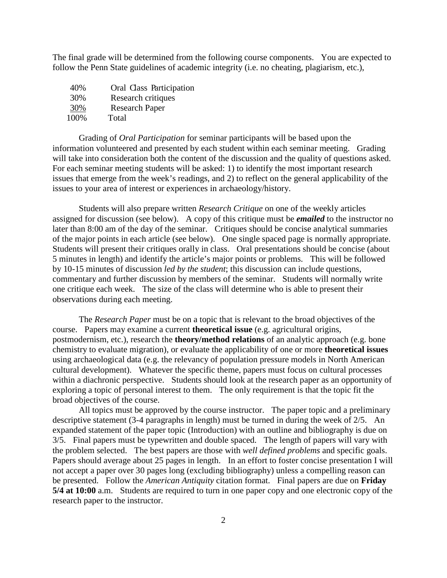The final grade will be determined from the following course components. You are expected to follow the Penn State guidelines of academic integrity (i.e. no cheating, plagiarism, etc.),

 40% Oral Class Participation 30% Research critiques 30% Research Paper 100% Total

Grading of *Oral Participation* for seminar participants will be based upon the information volunteered and presented by each student within each seminar meeting. Grading will take into consideration both the content of the discussion and the quality of questions asked. For each seminar meeting students will be asked: 1) to identify the most important research issues that emerge from the week's readings, and 2) to reflect on the general applicability of the issues to your area of interest or experiences in archaeology/history.

Students will also prepare written *Research Critique* on one of the weekly articles assigned for discussion (see below). A copy of this critique must be *emailed* to the instructor no later than 8:00 am of the day of the seminar. Critiques should be concise analytical summaries of the major points in each article (see below). One single spaced page is normally appropriate. Students will present their critiques orally in class. Oral presentations should be concise (about 5 minutes in length) and identify the article's major points or problems. This will be followed by 10-15 minutes of discussion *led by the student*; this discussion can include questions, commentary and further discussion by members of the seminar. Students will normally write one critique each week. The size of the class will determine who is able to present their observations during each meeting.

The *Research Paper* must be on a topic that is relevant to the broad objectives of the course. Papers may examine a current **theoretical issue** (e.g. agricultural origins, postmodernism, etc.), research the **theory/method relations** of an analytic approach (e.g. bone chemistry to evaluate migration), or evaluate the applicability of one or more **theoretical issues**  using archaeological data (e.g. the relevancy of population pressure models in North American cultural development). Whatever the specific theme, papers must focus on cultural processes within a diachronic perspective. Students should look at the research paper as an opportunity of exploring a topic of personal interest to them. The only requirement is that the topic fit the broad objectives of the course.

All topics must be approved by the course instructor. The paper topic and a preliminary descriptive statement (3-4 paragraphs in length) must be turned in during the week of 2/5. An expanded statement of the paper topic (Introduction) with an outline and bibliography is due on 3/5. Final papers must be typewritten and double spaced. The length of papers will vary with the problem selected. The best papers are those with *well defined problems* and specific goals. Papers should average about 25 pages in length. In an effort to foster concise presentation I will not accept a paper over 30 pages long (excluding bibliography) unless a compelling reason can be presented. Follow the *American Antiquity* citation format. Final papers are due on **Friday 5/4 at 10:00** a.m. Students are required to turn in one paper copy and one electronic copy of the research paper to the instructor.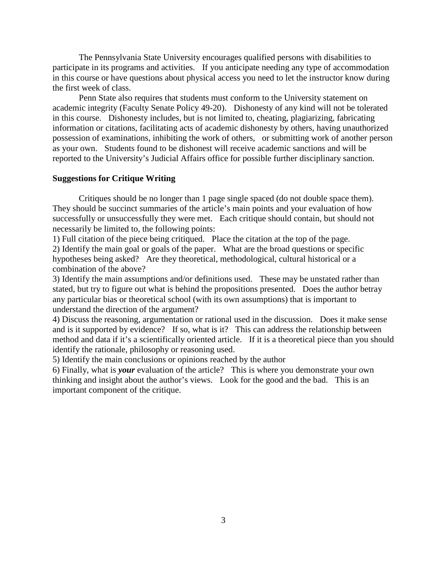The Pennsylvania State University encourages qualified persons with disabilities to participate in its programs and activities. If you anticipate needing any type of accommodation in this course or have questions about physical access you need to let the instructor know during the first week of class.

Penn State also requires that students must conform to the University statement on academic integrity (Faculty Senate Policy 49-20). Dishonesty of any kind will not be tolerated in this course. Dishonesty includes, but is not limited to, cheating, plagiarizing, fabricating information or citations, facilitating acts of academic dishonesty by others, having unauthorized possession of examinations, inhibiting the work of others, or submitting work of another person as your own. Students found to be dishonest will receive academic sanctions and will be reported to the University's Judicial Affairs office for possible further disciplinary sanction.

## **Suggestions for Critique Writing**

Critiques should be no longer than 1 page single spaced (do not double space them). They should be succinct summaries of the article's main points and your evaluation of how successfully or unsuccessfully they were met. Each critique should contain, but should not necessarily be limited to, the following points:

1) Full citation of the piece being critiqued. Place the citation at the top of the page. 2) Identify the main goal or goals of the paper. What are the broad questions or specific hypotheses being asked? Are they theoretical, methodological, cultural historical or a combination of the above?

3) Identify the main assumptions and/or definitions used. These may be unstated rather than stated, but try to figure out what is behind the propositions presented. Does the author betray any particular bias or theoretical school (with its own assumptions) that is important to understand the direction of the argument?

4) Discuss the reasoning, argumentation or rational used in the discussion. Does it make sense and is it supported by evidence? If so, what is it? This can address the relationship between method and data if it's a scientifically oriented article. If it is a theoretical piece than you should identify the rationale, philosophy or reasoning used.

5) Identify the main conclusions or opinions reached by the author

6) Finally, what is *your* evaluation of the article? This is where you demonstrate your own thinking and insight about the author's views. Look for the good and the bad. This is an important component of the critique.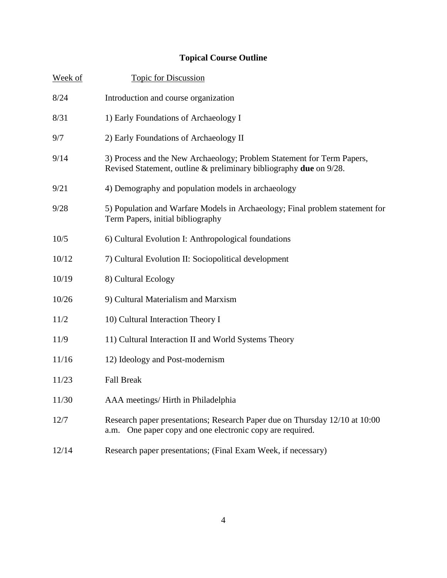## **Topical Course Outline**

| Week of | <b>Topic for Discussion</b>                                                                                                                  |
|---------|----------------------------------------------------------------------------------------------------------------------------------------------|
| 8/24    | Introduction and course organization                                                                                                         |
| 8/31    | 1) Early Foundations of Archaeology I                                                                                                        |
| 9/7     | 2) Early Foundations of Archaeology II                                                                                                       |
| 9/14    | 3) Process and the New Archaeology; Problem Statement for Term Papers,<br>Revised Statement, outline & preliminary bibliography due on 9/28. |
| 9/21    | 4) Demography and population models in archaeology                                                                                           |
| 9/28    | 5) Population and Warfare Models in Archaeology; Final problem statement for<br>Term Papers, initial bibliography                            |
| 10/5    | 6) Cultural Evolution I: Anthropological foundations                                                                                         |
| 10/12   | 7) Cultural Evolution II: Sociopolitical development                                                                                         |
| 10/19   | 8) Cultural Ecology                                                                                                                          |
| 10/26   | 9) Cultural Materialism and Marxism                                                                                                          |
| 11/2    | 10) Cultural Interaction Theory I                                                                                                            |
| 11/9    | 11) Cultural Interaction II and World Systems Theory                                                                                         |
| 11/16   | 12) Ideology and Post-modernism                                                                                                              |
| 11/23   | <b>Fall Break</b>                                                                                                                            |
| 11/30   | AAA meetings/ Hirth in Philadelphia                                                                                                          |
| 12/7    | Research paper presentations; Research Paper due on Thursday 12/10 at 10:00<br>a.m. One paper copy and one electronic copy are required.     |
| 12/14   | Research paper presentations; (Final Exam Week, if necessary)                                                                                |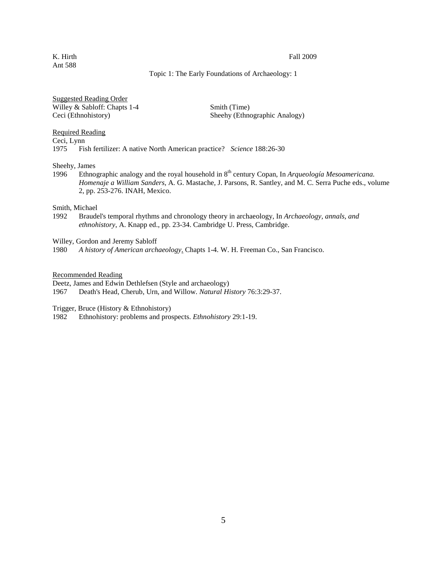### K. Hirth Fall 2009

## Topic 1: The Early Foundations of Archaeology: 1

Suggested Reading Order Willey & Sabloff: Chapts 1-4 Smith (Time) Ceci (Ethnohistory) Sheehy (Ethnographic Analogy)

Required Reading

Ceci, Lynn<br>1975 Fis 1975 Fish fertilizer: A native North American practice? *Science* 188:26-30

Sheehy, James

1996 Ethnographic analogy and the royal household in 8<sup>th</sup> century Copan, In *Arqueología Mesoamericana*. *Homenaje a William Sanders*, A. G. Mastache, J. Parsons, R. Santley, and M. C. Serra Puche eds., volume 2, pp. 253-276. INAH, Mexico.

Smith, Michael<br>1992 Braude

1992 Braudel's temporal rhythms and chronology theory in archaeology, In *Archaeology, annals, and ethnohistory*, A. Knapp ed., pp. 23-34. Cambridge U. Press, Cambridge.

Willey, Gordon and Jeremy Sabloff

1980 *A history of American archaeology*. Chapts 1-4. W. H. Freeman Co., San Francisco.

Recommended Reading

Deetz, James and Edwin Dethlefsen (Style and archaeology)

1967 Death's Head, Cherub, Urn, and Willow. *Natural History* 76:3:29-37.

Trigger, Bruce (History & Ethnohistory)<br>1982 Ethnohistory: problems and pro

1982 Ethnohistory: problems and prospects. *Ethnohistory* 29:1-19.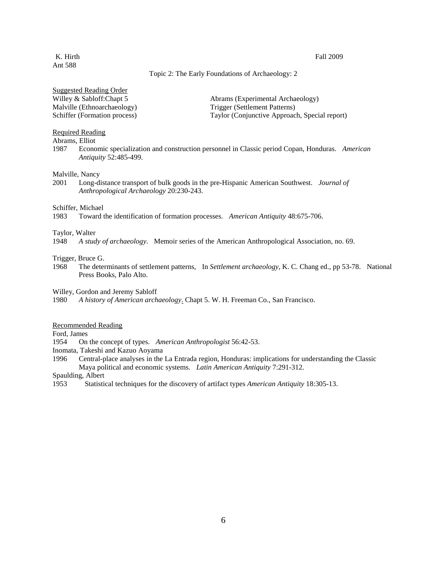## K. Hirth Fall 2009

## Topic 2: The Early Foundations of Archaeology: 2

Suggested Reading Order

Malville (Ethnoarchaeology) Trigger (Settlement Patterns)

Willey & Sabloff:Chapt 5 Abrams (Experimental Archaeology) Schiffer (Formation process) Taylor (Conjunctive Approach, Special report)

## Required Reading

Abrams, Elliot

1987 Economic specialization and construction personnel in Classic period Copan, Honduras. *American Antiquity* 52:485-499.

### Malville, Nancy

2001 Long-distance transport of bulk goods in the pre-Hispanic American Southwest. *Journal of Anthropological Archaeology* 20:230-243.

# Schiffer, Michael<br>1983 Toward t

1983 Toward the identification of formation processes. *American Antiquity* 48:675-706.

# Taylor, Walter<br>1948 A stud

1948 *A study of archaeology*. Memoir series of the American Anthropological Association, no. 69.

# Trigger, Bruce G.<br>1968 The deter

1968 The determinants of settlement patterns, In *Settlement archaeology*, K. C. Chang ed., pp 53-78. National Press Books, Palo Alto.

Willey, Gordon and Jeremy Sabloff

1980 *A history of American archaeology*. Chapt 5. W. H. Freeman Co., San Francisco.

## Recommended Reading

Ford, James

1954 On the concept of types. *American Anthropologist* 56:42-53.

Inomata, Takeshi and Kazuo Aoyama

1996 Central-place analyses in the La Entrada region, Honduras: implications for understanding the Classic Maya political and economic systems. *Latin American Antiquity* 7:291-312.

Spaulding, Albert

1953 Statistical techniques for the discovery of artifact types *American Antiquity* 18:305-13.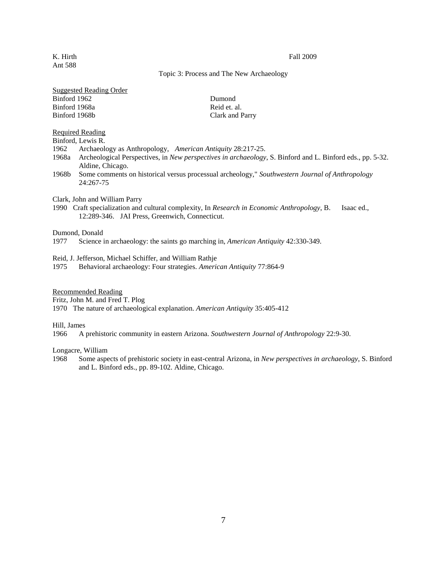### K. Hirth Fall 2009

## Topic 3: Process and The New Archaeology

| <b>Suggested Reading Order</b> |  |
|--------------------------------|--|
| Rinford 1962                   |  |

Binford 1968a Reid et. al. Binford 1968b Clark and Parry

Dumond

Required Reading

Binford, Lewis R.

- 1962 Archaeology as Anthropology, *American Antiquity* 28:217-25.
- 1968a Archeological Perspectives, in *New perspectives in archaeology*, S. Binford and L. Binford eds., pp. 5-32. Aldine, Chicago.
- 1968b Some comments on historical versus processual archeology," *Southwestern Journal of Anthropology* 24:267-75

Clark, John and William Parry

1990 Craft specialization and cultural complexity, In *Research in Economic Anthropology*, B. Isaac ed., 12:289-346. JAI Press, Greenwich, Connecticut.

# Dumond, Donald<br>1977 Science i

Science in archaeology: the saints go marching in, *American Antiquity* 42:330-349.

Reid, J. Jefferson, Michael Schiffer, and William Rathje

1975 Behavioral archaeology: Four strategies. *American Antiquity* 77:864-9

Recommended Reading

Fritz, John M. and Fred T. Plog

1970 The nature of archaeological explanation. *American Antiquity* 35:405-412

Hill, James

1966 A prehistoric community in eastern Arizona. *Southwestern Journal of Anthropology* 22:9-30.

Longacre, William

1968 Some aspects of prehistoric society in east-central Arizona, in *New perspectives in archaeology*, S. Binford and L. Binford eds., pp. 89-102. Aldine, Chicago.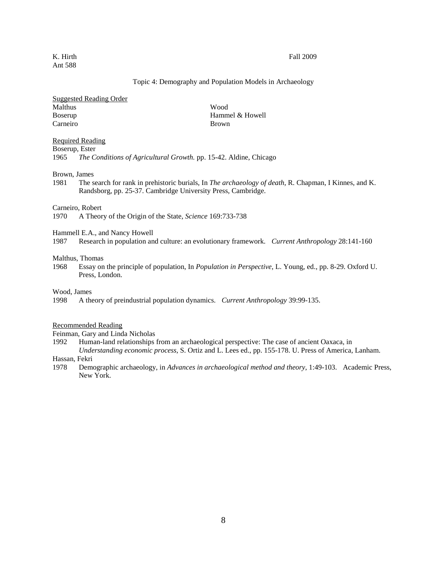## Topic 4: Demography and Population Models in Archaeology

## Suggested Reading Order Malthus Wood Boserup Hammel & Howell Carneiro Brown

## Required Reading

Boserup, Ester

1965 *The Conditions of Agricultural Growth.* pp. 15-42. Aldine, Chicago

### Brown, James

1981 The search for rank in prehistoric burials, In *The archaeology of death*, R. Chapman, I Kinnes, and K. Randsborg, pp. 25-37. Cambridge University Press, Cambridge.

# Carneiro, Robert<br>1970 A Theor

1970 A Theory of the Origin of the State, *Science* 169:733-738

Hammell E.A., and Nancy Howell<br>1987 Research in population an

1987 Research in population and culture: an evolutionary framework. *Current Anthropology* 28:141-160

### Malthus, Thomas

1968 Essay on the principle of population, In *Population in Perspective*, L. Young, ed., pp. 8-29. Oxford U. Press, London.

### Wood, James

1998 A theory of preindustrial population dynamics. *Current Anthropology* 39:99-135.

## Recommended Reading

Feinman, Gary and Linda Nicholas

- 1992 Human-land relationships from an archaeological perspective: The case of ancient Oaxaca, in *Understanding economic process*, S. Ortiz and L. Lees ed., pp. 155-178. U. Press of America, Lanham.
- Hassan, Fekri
- 1978 Demographic archaeology, in *Advances in archaeological method and theory*, 1:49-103. Academic Press, New York.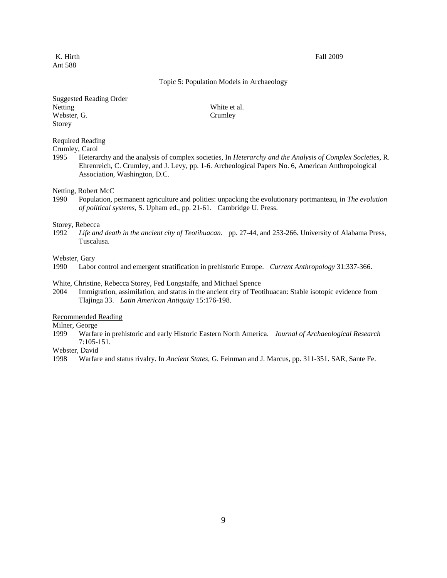### K. Hirth Fall 2009

## Topic 5: Population Models in Archaeology

Suggested Reading Order Netting White et al. Webster, G. Crumley Storey

## Required Reading

Crumley, Carol

1995 Heterarchy and the analysis of complex societies, In *Heterarchy and the Analysis of Complex Societies*, R. Ehrenreich, C. Crumley, and J. Levy, pp. 1-6. Archeological Papers No. 6, American Anthropological Association, Washington, D.C.

### Netting, Robert McC

1990 Population, permanent agriculture and polities: unpacking the evolutionary portmanteau, in *The evolution of political systems*, S. Upham ed., pp. 21-61. Cambridge U. Press.

### Storey, Rebecca

1992 *Life and death in the ancient city of Teotihuacan*. pp. 27-44, and 253-266. University of Alabama Press, Tuscalusa.

## Webster, Gary

1990 Labor control and emergent stratification in prehistoric Europe. *Current Anthropology* 31:337-366.

#### White, Christine, Rebecca Storey, Fed Longstaffe, and Michael Spence

2004 Immigration, assimilation, and status in the ancient city of Teotihuacan: Stable isotopic evidence from Tlajinga 33. *Latin American Antiquity* 15:176-198.

## Recommended Reading

Milner, George

1999 Warfare in prehistoric and early Historic Eastern North America. *Journal of Archaeological Research*  $7:105-151.$ 

Webster, David

1998 Warfare and status rivalry. In *Ancient States*, G. Feinman and J. Marcus, pp. 311-351. SAR, Sante Fe.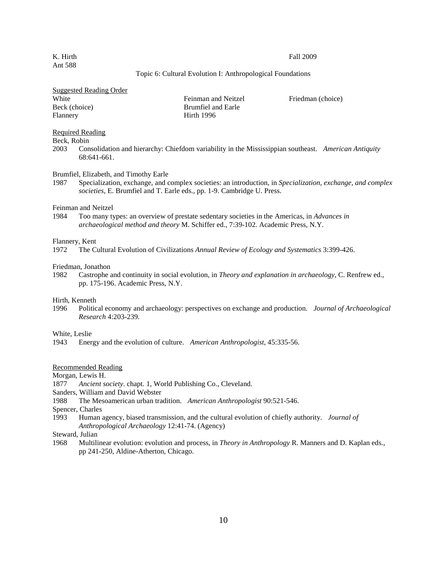### K. Hirth Fall 2009

## Topic 6: Cultural Evolution I: Anthropological Foundations

| <b>Suggested Reading Order</b> |                     |                   |
|--------------------------------|---------------------|-------------------|
| White                          | Feinman and Neitzel | Friedman (choice) |
| Beck (choice)                  | Brumfiel and Earle  |                   |
| Flannery                       | Hirth 1996          |                   |

## Required Reading

## Beck, Robin

2003 Consolidation and hierarchy: Chiefdom variability in the Mississippian southeast. *American Antiquity* 68:641-661.

#### Brumfiel, Elizabeth, and Timothy Earle

1987 Specialization, exchange, and complex societies: an introduction, in *Specialization, exchange, and complex societies*, E. Brumfiel and T. Earle eds., pp. 1-9. Cambridge U. Press.

# Feinman and Neitzel<br>1984 Too many ty

Too many types: an overview of prestate sedentary societies in the Americas, in *Advances in archaeological method and theory* M. Schiffer ed., 7:39-102. Academic Press, N.Y.

## Flannery, Kent

1972 The Cultural Evolution of Civilizations *Annual Review of Ecology and Systematics* 3:399-426.

## Friedman, Jonathon

1982 Castrophe and continuity in social evolution, in *Theory and explanation in archaeology*, C. Renfrew ed., pp. 175-196. Academic Press, N.Y.

### Hirth, Kenneth

1996 Political economy and archaeology: perspectives on exchange and production. *Journal of Archaeological Research* 4:203-239.

# White, Leslie<br>1943 Ener

1943 Energy and the evolution of culture. *American Anthropologist*, 45:335-56.

### Recommended Reading

Morgan, Lewis H.

- 1877 *Ancient society*. chapt. 1, World Publishing Co., Cleveland.
- Sanders, William and David Webster
- 1988 The Mesoamerican urban tradition. *American Anthropologist* 90:521-546.

Spencer, Charles

- 1993 Human agency, biased transmission, and the cultural evolution of chiefly authority. *Journal of Anthropological Archaeology* 12:41-74. (Agency)
- Steward, Julian
- 1968 Multilinear evolution: evolution and process, in *Theory in Anthropology* R. Manners and D. Kaplan eds., pp 241-250, Aldine-Atherton, Chicago.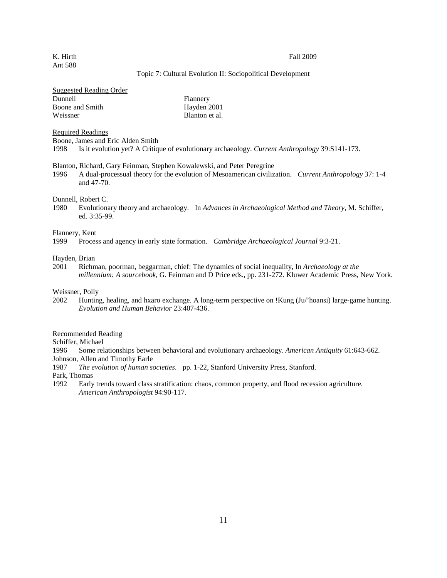### K. Hirth Fall 2009

## Topic 7: Cultural Evolution II: Sociopolitical Development

| <b>Suggested Reading Order</b> |                |
|--------------------------------|----------------|
| Dunnell                        | Flannery       |
| Boone and Smith                | Hayden 2001    |
| Weissner                       | Blanton et al. |

Required Readings

Boone, James and Eric Alden Smith

1998 Is it evolution yet? A Critique of evolutionary archaeology. *Current Anthropology* 39:S141-173.

## Blanton, Richard, Gary Feinman, Stephen Kowalewski, and Peter Peregrine

1996 A dual-processual theory for the evolution of Mesoamerican civilization. *Current Anthropology* 37: 1-4 and 47-70.

### Dunnell, Robert C.

1980 Evolutionary theory and archaeology. In *Advances in Archaeological Method and Theory*, M. Schiffer, ed. 3:35-99.

# Flannery, Kent

1999 Process and agency in early state formation. *Cambridge Archaeological Journal* 9:3-21.

## Hayden, Brian

2001 Richman, poorman, beggarman, chief: The dynamics of social inequality, In *Archaeology at the millennium: A sourcebook*, G. Feinman and D Price eds., pp. 231-272. Kluwer Academic Press, New York.

## Weissner, Polly

2002 Hunting, healing, and hxaro exchange. A long-term perspective on !Kung (Ju/'hoansi) large-game hunting. *Evolution and Human Behavior* 23:407-436.

#### Recommended Reading

Schiffer, Michael

1996 Some relationships between behavioral and evolutionary archaeology. *American Antiquity* 61:643-662. Johnson, Allen and Timothy Earle

1987 *The evolution of human societies*. pp. 1-22, Stanford University Press, Stanford.

Park, Thomas

1992 Early trends toward class stratification: chaos, common property, and flood recession agriculture. *American Anthropologist* 94:90-117.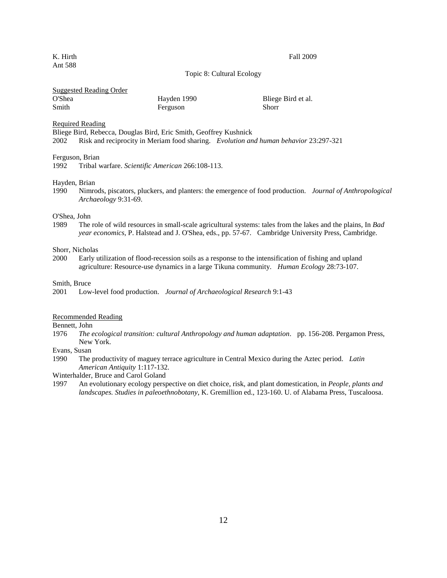K. Hirth Fall 2009

Topic 8: Cultural Ecology

## Suggested Reading Order

| O'Shea | Hayden 1990 | Bliege Bird et al. |
|--------|-------------|--------------------|
| Smith  | Ferguson    | Shorr              |

Required Reading

Bliege Bird, Rebecca, Douglas Bird, Eric Smith, Geoffrey Kushnick 2002 Risk and reciprocity in Meriam food sharing. *Evolution and human behavior* 23:297-321

## Ferguson, Brian

1992 Tribal warfare. *Scientific American* 266:108-113.

#### Hayden, Brian

1990 Nimrods, piscators, pluckers, and planters: the emergence of food production. *Journal of Anthropological Archaeology* 9:31-69.

## O'Shea, John

1989 The role of wild resources in small-scale agricultural systems: tales from the lakes and the plains, In *Bad year economics*, P. Halstead and J. O'Shea, eds., pp. 57-67. Cambridge University Press, Cambridge.

#### Shorr, Nicholas

2000 Early utilization of flood-recession soils as a response to the intensification of fishing and upland agriculture: Resource-use dynamics in a large Tikuna community. *Human Ecology* 28:73-107.

#### Smith, Bruce

## Recommended Reading

Bennett, John

1976 *The ecological transition: cultural Anthropology and human adaptation*. pp. 156-208. Pergamon Press, New York.

#### Evans, Susan

1990 The productivity of maguey terrace agriculture in Central Mexico during the Aztec period. *Latin American Antiquity* 1:117-132.

Winterhalder, Bruce and Carol Goland

1997 An evolutionary ecology perspective on diet choice, risk, and plant domestication, in *People, plants and landscapes. Studies in paleoethnobotany*, K. Gremillion ed., 123-160. U. of Alabama Press, Tuscaloosa.

<sup>2001</sup> Low-level food production. *Journal of Archaeological Research* 9:1-43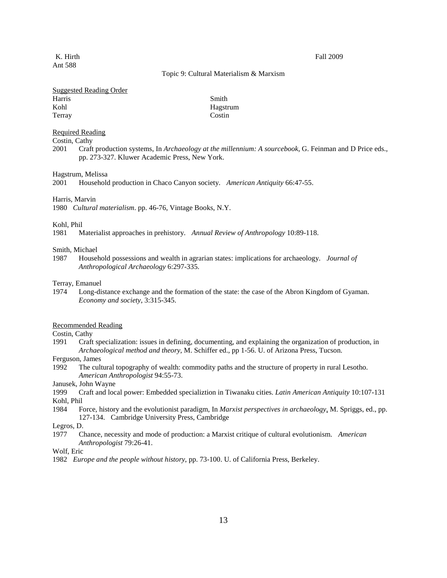### K. Hirth Fall 2009

## Topic 9: Cultural Materialism & Marxism

## Suggested Reading Order

| Harris | Smith  |
|--------|--------|
| Kohl   | Hagstr |
| Terray | Costin |

Hagstrum

## Required Reading

Costin, Cathy

2001 Craft production systems, In *Archaeology at the millennium: A sourcebook*, G. Feinman and D Price eds., pp. 273-327. Kluwer Academic Press, New York.

### Hagstrum, Melissa

2001 Household production in Chaco Canyon society. *American Antiquity* 66:47-55.

#### Harris, Marvin

1980 *Cultural materialism*. pp. 46-76, Vintage Books, N.Y.

## Kohl, Phil

1981 Materialist approaches in prehistory. *Annual Review of Anthropology* 10:89-118.

#### Smith, Michael

1987 Household possessions and wealth in agrarian states: implications for archaeology. *Journal of Anthropological Archaeology* 6:297-335.

### Terray, Emanuel

1974 Long-distance exchange and the formation of the state: the case of the Abron Kingdom of Gyaman. *Economy and society*, 3:315-345.

#### Recommended Reading

## Costin, Cathy

- 1991 Craft specialization: issues in defining, documenting, and explaining the organization of production, in *Archaeological method and theory*, M. Schiffer ed., pp 1-56. U. of Arizona Press, Tucson.
- Ferguson, James
- 1992 The cultural topography of wealth: commodity paths and the structure of property in rural Lesotho. *American Anthropologist* 94:55-73.

Janusek, John Wayne

- 1999 Craft and local power: Embedded specializtion in Tiwanaku cities. *Latin American Antiquity* 10:107-131 Kohl, Phil
- 1984 Force, history and the evolutionist paradigm, In *Marxist perspectives in archaeology*, M. Spriggs, ed., pp. 127-134. Cambridge University Press, Cambridge

## Legros, D.

1977 Chance, necessity and mode of production: a Marxist critique of cultural evolutionism. *American Anthropologist* 79:26-41.

## Wolf, Eric

1982 *Europe and the people without history*, pp. 73-100. U. of California Press, Berkeley.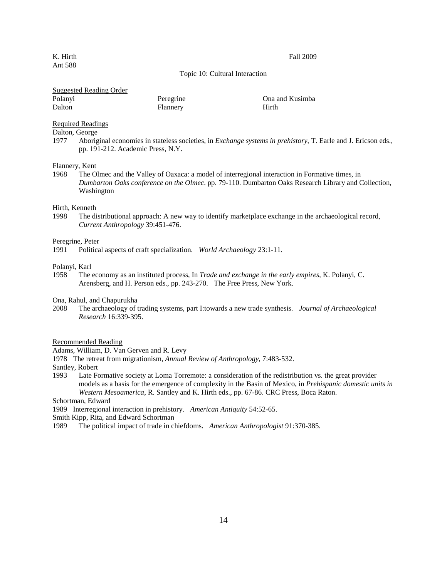### K. Hirth Fall 2009

## Topic 10: Cultural Interaction

## Suggested Reading Order

| Polanyi | Peregrine | Ona and Kusimba |
|---------|-----------|-----------------|
| Dalton  | Flannery  | Hirth           |

## Required Readings

Dalton, George

1977 Aboriginal economies in stateless societies, in *Exchange systems in prehistory*, T. Earle and J. Ericson eds., pp. 191-212. Academic Press, N.Y.

## Flannery, Kent

1968 The Olmec and the Valley of Oaxaca: a model of interregional interaction in Formative times, in *Dumbarton Oaks conference on the Olmec*. pp. 79-110. Dumbarton Oaks Research Library and Collection, Washington

# Hirth, Kenneth

The distributional approach: A new way to identify marketplace exchange in the archaeological record, *Current Anthropology* 39:451-476.

## Peregrine, Peter

1991 Political aspects of craft specialization. *World Archaeology* 23:1-11.

## Polanyi, Karl

1958 The economy as an instituted process, In *Trade and exchange in the early empires*, K. Polanyi, C. Arensberg, and H. Person eds., pp. 243-270. The Free Press, New York.

## Ona, Rahul, and Chapurukha

2008 The archaeology of trading systems, part I:towards a new trade synthesis. *Journal of Archaeological Research* 16:339-395.

#### Recommended Reading

Adams, William, D. Van Gerven and R. Levy

1978 The retreat from migrationism, *Annual Review of Anthropology*, 7:483-532.

Santley, Robert

1993 Late Formative society at Loma Torremote: a consideration of the redistribution vs. the great provider models as a basis for the emergence of complexity in the Basin of Mexico, in *Prehispanic domestic units in Western Mesoamerica*, R. Santley and K. Hirth eds., pp. 67-86. CRC Press, Boca Raton.

Schortman, Edward

1989 Interregional interaction in prehistory. *American Antiquity* 54:52-65.

Smith Kipp, Rita, and Edward Schortman

1989 The political impact of trade in chiefdoms. *American Anthropologist* 91:370-385.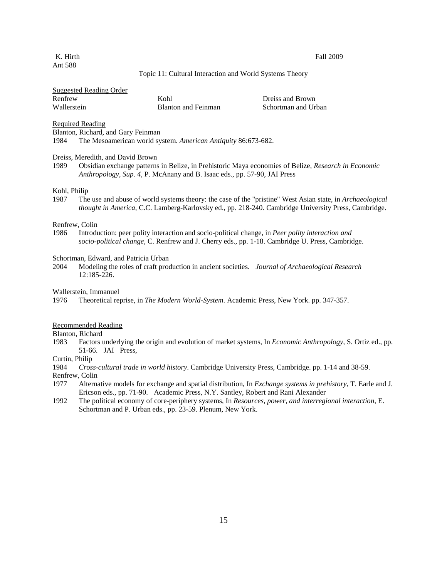K. Hirth Fall 2009

## Topic 11: Cultural Interaction and World Systems Theory

| <b>Suggested Reading Order</b> |  |
|--------------------------------|--|
|                                |  |

| Renfrew     | Kohl                       | Dreiss and Brown    |
|-------------|----------------------------|---------------------|
| Wallerstein | <b>Blanton and Feinman</b> | Schortman and Urban |

Required Reading

Blanton, Richard, and Gary Feinman

1984 The Mesoamerican world system. *American Antiquity* 86:673-682.

#### Dreiss, Meredith, and David Brown

1989 Obsidian exchange patterns in Belize, in Prehistoric Maya economies of Belize, *Research in Economic Anthropology, Sup. 4*, P. McAnany and B. Isaac eds., pp. 57-90, JAI Press

## Kohl, Philip

1987 The use and abuse of world systems theory: the case of the "pristine" West Asian state, in *Archaeological thought in America*, C.C. Lamberg-Karlovsky ed., pp. 218-240. Cambridge University Press, Cambridge.

### Renfrew, Colin

1986 Introduction: peer polity interaction and socio-political change, in *Peer polity interaction and socio-political change*, C. Renfrew and J. Cherry eds., pp. 1-18. Cambridge U. Press, Cambridge.

#### Schortman, Edward, and Patricia Urban

2004 Modeling the roles of craft production in ancient societies. *Journal of Archaeological Research* 12:185-226.

Wallerstein, Immanuel

1976 Theoretical reprise, in *The Modern World-System*. Academic Press, New York. pp. 347-357.

## Recommended Reading

Blanton, Richard<br>1983 Factors

1983 Factors underlying the origin and evolution of market systems, In *Economic Anthropology*, S. Ortiz ed., pp. 51-66. JAI Press,

## Curtin, Philip

1984 *Cross-cultural trade in world history*. Cambridge University Press, Cambridge. pp. 1-14 and 38-59.

Renfrew, Colin

- 1977 Alternative models for exchange and spatial distribution, In *Exchange systems in prehistory*, T. Earle and J. Ericson eds., pp. 71-90. Academic Press, N.Y. Santley, Robert and Rani Alexander
- 1992 The political economy of core-periphery systems, In *Resources, power, and interregional interaction*, E. Schortman and P. Urban eds., pp. 23-59. Plenum, New York.